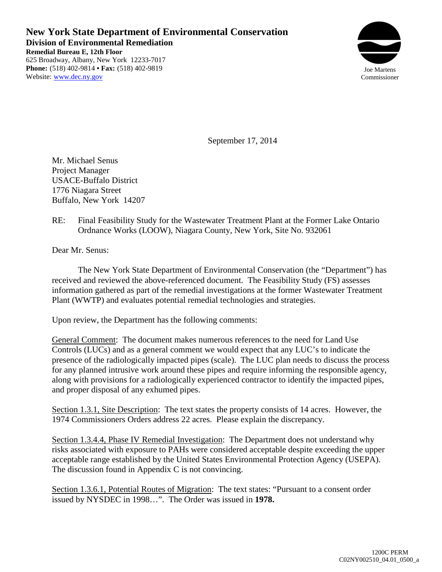**New York State Department of Environmental Conservation Division of Environmental Remediation Remedial Bureau E, 12th Floor** 625 Broadway, Albany, New York 12233-7017 **Phone:** (518) 402-9814 **• Fax:** (518) 402-9819 Website: www.dec.ny.gov



September 17, 2014

Mr. Michael Senus Project Manager USACE-Buffalo District 1776 Niagara Street Buffalo, New York 14207

RE: Final Feasibility Study for the Wastewater Treatment Plant at the Former Lake Ontario Ordnance Works (LOOW), Niagara County, New York, Site No. 932061

Dear Mr. Senus:

The New York State Department of Environmental Conservation (the "Department") has received and reviewed the above-referenced document. The Feasibility Study (FS) assesses information gathered as part of the remedial investigations at the former Wastewater Treatment Plant (WWTP) and evaluates potential remedial technologies and strategies.

Upon review, the Department has the following comments:

General Comment: The document makes numerous references to the need for Land Use Controls (LUCs) and as a general comment we would expect that any LUC's to indicate the presence of the radiologically impacted pipes (scale). The LUC plan needs to discuss the process for any planned intrusive work around these pipes and require informing the responsible agency, along with provisions for a radiologically experienced contractor to identify the impacted pipes, and proper disposal of any exhumed pipes.

Section 1.3.1, Site Description: The text states the property consists of 14 acres. However, the 1974 Commissioners Orders address 22 acres. Please explain the discrepancy.

Section 1.3.4.4, Phase IV Remedial Investigation: The Department does not understand why risks associated with exposure to PAHs were considered acceptable despite exceeding the upper acceptable range established by the United States Environmental Protection Agency (USEPA). The discussion found in Appendix C is not convincing.

Section 1.3.6.1, Potential Routes of Migration: The text states: "Pursuant to a consent order issued by NYSDEC in 1998…". The Order was issued in **1978.**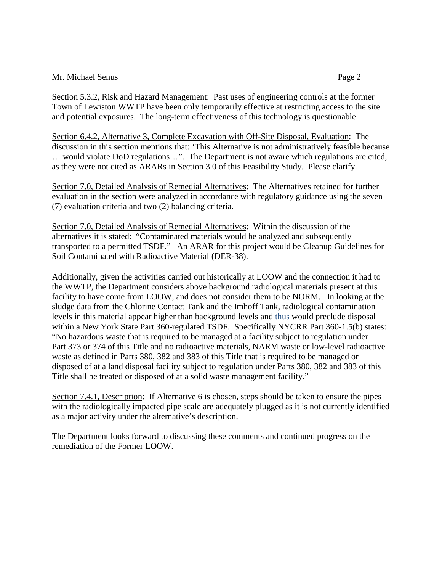## Mr. Michael Senus Page 2

Section 5.3.2, Risk and Hazard Management: Past uses of engineering controls at the former Town of Lewiston WWTP have been only temporarily effective at restricting access to the site and potential exposures. The long-term effectiveness of this technology is questionable.

Section 6.4.2, Alternative 3, Complete Excavation with Off-Site Disposal, Evaluation: The discussion in this section mentions that: 'This Alternative is not administratively feasible because … would violate DoD regulations…". The Department is not aware which regulations are cited, as they were not cited as ARARs in Section 3.0 of this Feasibility Study. Please clarify.

Section 7.0, Detailed Analysis of Remedial Alternatives: The Alternatives retained for further evaluation in the section were analyzed in accordance with regulatory guidance using the seven (7) evaluation criteria and two (2) balancing criteria.

Section 7.0, Detailed Analysis of Remedial Alternatives: Within the discussion of the alternatives it is stated: "Contaminated materials would be analyzed and subsequently transported to a permitted TSDF." An ARAR for this project would be Cleanup Guidelines for Soil Contaminated with Radioactive Material (DER-38).

Additionally, given the activities carried out historically at LOOW and the connection it had to the WWTP, the Department considers above background radiological materials present at this facility to have come from LOOW, and does not consider them to be NORM. In looking at the sludge data from the Chlorine Contact Tank and the Imhoff Tank, radiological contamination levels in this material appear higher than background levels and thus would preclude disposal within a New York State Part 360-regulated TSDF. Specifically NYCRR Part 360-1.5(b) states: "No hazardous waste that is required to be managed at a facility subject to regulation under Part 373 or 374 of this Title and no radioactive materials, NARM waste or low-level radioactive waste as defined in Parts 380, 382 and 383 of this Title that is required to be managed or disposed of at a land disposal facility subject to regulation under Parts 380, 382 and 383 of this Title shall be treated or disposed of at a solid waste management facility."

Section 7.4.1, Description: If Alternative 6 is chosen, steps should be taken to ensure the pipes with the radiologically impacted pipe scale are adequately plugged as it is not currently identified as a major activity under the alternative's description.

The Department looks forward to discussing these comments and continued progress on the remediation of the Former LOOW.